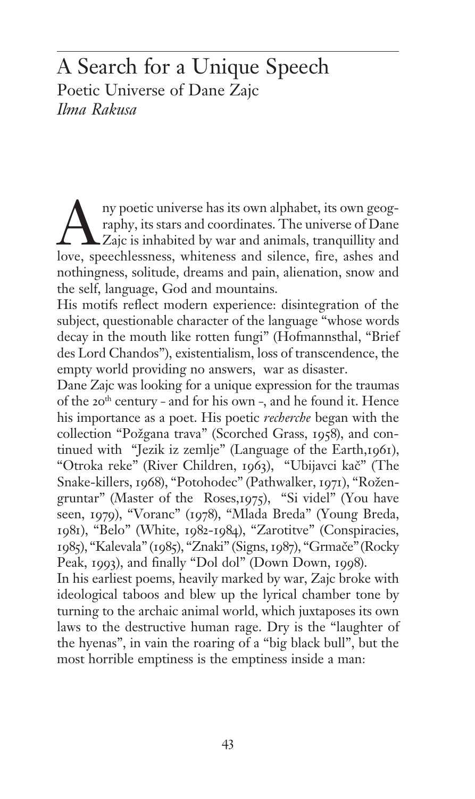# A Search for a Unique Speech Poetic Universe of Dane Zajc *Ilma Rakusa*

Australian in the same of Dane praphy, its stars and coordinates. The universe of Dane Zajc is inhabited by war and animals, tranquillity and love, speechlessness, whiteness and silence, fire, ashes and raphy, its stars and coordinates. The universe of Dane  $\angle$ Zajc is inhabited by war and animals, tranquillity and nothingness, solitude, dreams and pain, alienation, snow and the self, language, God and mountains.

His motifs reflect modern experience: disintegration of the subject, questionable character of the language "whose words decay in the mouth like rotten fungi" (Hofmannsthal, "Brief des Lord Chandos"), existentialism, loss of transcendence, the empty world providing no answers, war as disaster.

Dane Zajc was looking for a unique expression for the traumas of the 20<sup>th</sup> century – and for his own –, and he found it. Hence his importance as a poet. His poetic *recherche* began with the collection "Požgana trava" (Scorched Grass, 1958), and continued with "Jezik iz zemlje" (Language of the Earth,1961), "Otroka reke" (River Children, 1963), "Ubijavci kač" (The Snake-killers, 1968), "Potohodec" (Pathwalker, 1971), "Rožengruntar" (Master of the Roses,1975), "Si videl" (You have seen, 1979), "Voranc" (1978), "Mlada Breda" (Young Breda, 1981), "Belo" (White, 1982-1984), "Zarotitve" (Conspiracies, 1985), "Kalevala" (1985), "Znaki" (Signs, 1987), "Grmače" (Rocky Peak, 1993), and finally "Dol dol" (Down Down, 1998).

In his earliest poems, heavily marked by war, Zajc broke with ideological taboos and blew up the lyrical chamber tone by turning to the archaic animal world, which juxtaposes its own laws to the destructive human rage. Dry is the "laughter of the hyenas", in vain the roaring of a "big black bull", but the most horrible emptiness is the emptiness inside a man: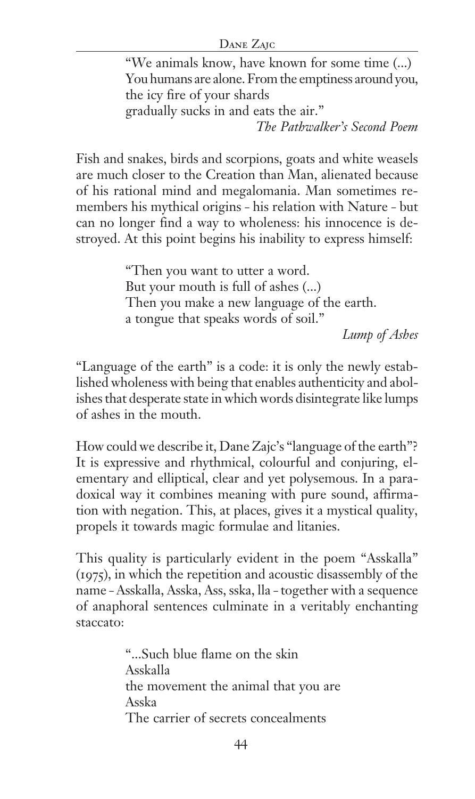#### DANE ZAJC

"We animals know, have known for some time (...) You humans are alone. From the emptiness around you, the icy fire of your shards gradually sucks in and eats the air."

*The Pathwalker's Second Poem*

Fish and snakes, birds and scorpions, goats and white weasels are much closer to the Creation than Man, alienated because of his rational mind and megalomania. Man sometimes remembers his mythical origins – his relation with Nature – but can no longer find a way to wholeness: his innocence is destroyed. At this point begins his inability to express himself:

> "Then you want to utter a word. But your mouth is full of ashes (...) Then you make a new language of the earth. a tongue that speaks words of soil."

*Lump of Ashes*

"Language of the earth" is a code: it is only the newly established wholeness with being that enables authenticity and abolishes that desperate state in which words disintegrate like lumps of ashes in the mouth.

How could we describe it, Dane Zajc's "language of the earth"? It is expressive and rhythmical, colourful and conjuring, elementary and elliptical, clear and yet polysemous. In a paradoxical way it combines meaning with pure sound, affirmation with negation. This, at places, gives it a mystical quality, propels it towards magic formulae and litanies.

This quality is particularly evident in the poem "Asskalla" (1975), in which the repetition and acoustic disassembly of the name – Asskalla, Asska, Ass, sska, lla – together with a sequence of anaphoral sentences culminate in a veritably enchanting staccato:

> "...Such blue flame on the skin Asskalla the movement the animal that you are Asska The carrier of secrets concealments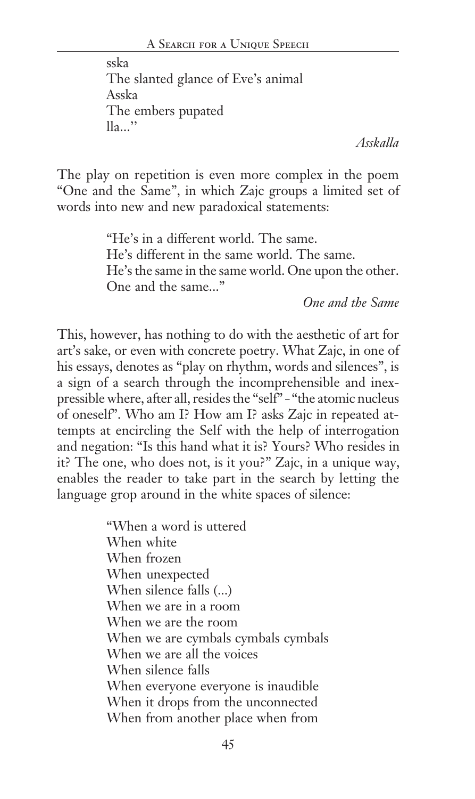sska The slanted glance of Eve's animal Asska The embers pupated  $\mathbb{I}_{2}$ ...

*Asskalla*

The play on repetition is even more complex in the poem "One and the Same", in which Zajc groups a limited set of words into new and new paradoxical statements:

> "He's in a different world. The same. He's different in the same world. The same. He's the same in the same world. One upon the other. One and the same..."

*One and the Same*

This, however, has nothing to do with the aesthetic of art for art's sake, or even with concrete poetry. What Zajc, in one of his essays, denotes as "play on rhythm, words and silences", is a sign of a search through the incomprehensible and inexpressible where, after all, resides the "self" – "the atomic nucleus of oneself". Who am I? How am I? asks Zajc in repeated attempts at encircling the Self with the help of interrogation and negation: "Is this hand what it is? Yours? Who resides in it? The one, who does not, is it you?" Zajc, in a unique way, enables the reader to take part in the search by letting the language grop around in the white spaces of silence:

> "When a word is uttered When white When frozen When unexpected When silence falls (...) When we are in a room When we are the room When we are cymbals cymbals cymbals When we are all the voices When silence falls When everyone everyone is inaudible When it drops from the unconnected When from another place when from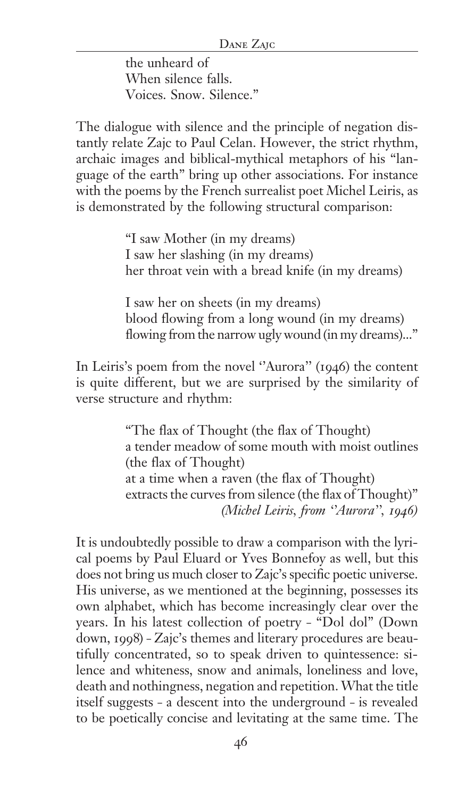the unheard of When silence falls. Voices. Snow. Silence."

The dialogue with silence and the principle of negation distantly relate Zajc to Paul Celan. However, the strict rhythm, archaic images and biblical-mythical metaphors of his "language of the earth" bring up other associations. For instance with the poems by the French surrealist poet Michel Leiris, as is demonstrated by the following structural comparison:

> "I saw Mother (in my dreams) I saw her slashing (in my dreams) her throat vein with a bread knife (in my dreams)

I saw her on sheets (in my dreams) blood flowing from a long wound (in my dreams) flowing from the narrow ugly wound (in my dreams)..."

In Leiris's poem from the novel "Aurora" (1946) the content is quite different, but we are surprised by the similarity of verse structure and rhythm:

> "The flax of Thought (the flax of Thought) a tender meadow of some mouth with moist outlines (the flax of Thought) at a time when a raven (the flax of Thought) extracts the curves from silence (the flax of Thought)" *(Michel Leiris, from ''Aurora'', 1946)*

It is undoubtedly possible to draw a comparison with the lyrical poems by Paul Eluard or Yves Bonnefoy as well, but this does not bring us much closer to Zajc's specific poetic universe. His universe, as we mentioned at the beginning, possesses its own alphabet, which has become increasingly clear over the years. In his latest collection of poetry – "Dol dol" (Down down, 1998) – Zajc's themes and literary procedures are beautifully concentrated, so to speak driven to quintessence: silence and whiteness, snow and animals, loneliness and love, death and nothingness, negation and repetition. What the title itself suggests – a descent into the underground – is revealed to be poetically concise and levitating at the same time. The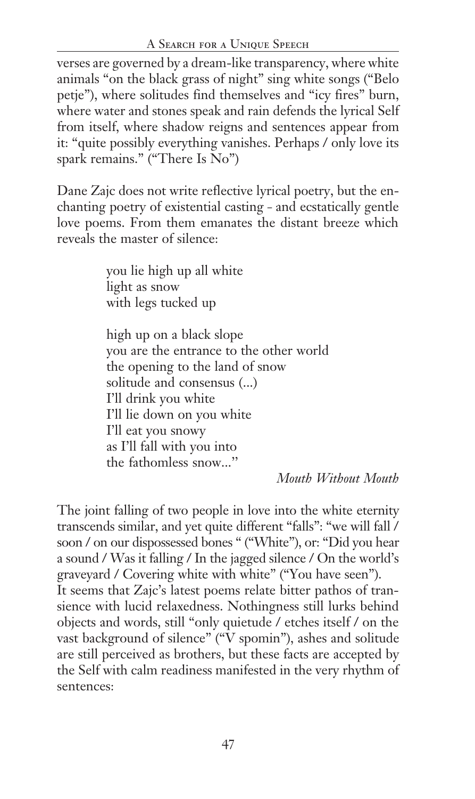## A Search for a Unique Speech

verses are governed by a dream-like transparency, where white animals "on the black grass of night" sing white songs ("Belo petje"), where solitudes find themselves and "icy fires" burn, where water and stones speak and rain defends the lyrical Self from itself, where shadow reigns and sentences appear from it: "quite possibly everything vanishes. Perhaps / only love its spark remains." ("There Is No")

Dane Zajc does not write reflective lyrical poetry, but the enchanting poetry of existential casting – and ecstatically gentle love poems. From them emanates the distant breeze which reveals the master of silence:

> you lie high up all white light as snow with legs tucked up

high up on a black slope you are the entrance to the other world the opening to the land of snow solitude and consensus (...) I'll drink you white I'll lie down on you white I'll eat you snowy as I'll fall with you into the fathomless snow...''

*Mouth Without Mouth*

The joint falling of two people in love into the white eternity transcends similar, and yet quite different "falls": "we will fall / soon / on our dispossessed bones " ("White"), or: "Did you hear a sound / Was it falling / In the jagged silence / On the world's graveyard / Covering white with white" ("You have seen"). It seems that Zajc's latest poems relate bitter pathos of transience with lucid relaxedness. Nothingness still lurks behind objects and words, still "only quietude / etches itself / on the vast background of silence" ("V spomin"), ashes and solitude are still perceived as brothers, but these facts are accepted by the Self with calm readiness manifested in the very rhythm of sentences: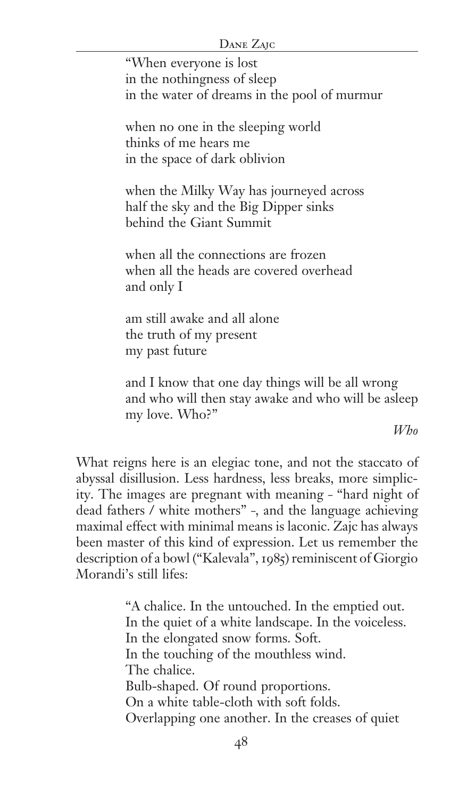"When everyone is lost in the nothingness of sleep in the water of dreams in the pool of murmur

when no one in the sleeping world thinks of me hears me in the space of dark oblivion

when the Milky Way has journeyed across half the sky and the Big Dipper sinks behind the Giant Summit

when all the connections are frozen when all the heads are covered overhead and only I

am still awake and all alone the truth of my present my past future

and I know that one day things will be all wrong and who will then stay awake and who will be asleep my love. Who?"

*Who*

What reigns here is an elegiac tone, and not the staccato of abyssal disillusion. Less hardness, less breaks, more simplicity. The images are pregnant with meaning – "hard night of dead fathers / white mothers" –, and the language achieving maximal effect with minimal means is laconic. Zajc has always been master of this kind of expression. Let us remember the description of a bowl ("Kalevala", 1985) reminiscent of Giorgio Morandi's still lifes:

> "A chalice. In the untouched. In the emptied out. In the quiet of a white landscape. In the voiceless. In the elongated snow forms. Soft. In the touching of the mouthless wind. The chalice. Bulb-shaped. Of round proportions. On a white table-cloth with soft folds. Overlapping one another. In the creases of quiet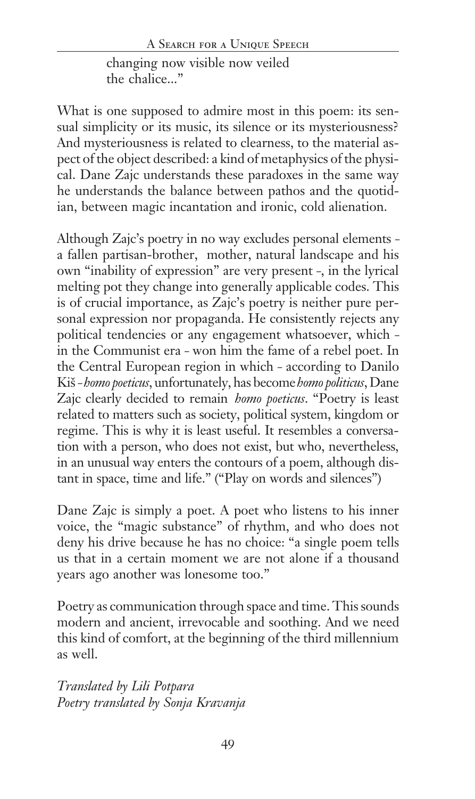changing now visible now veiled the chalice..."

What is one supposed to admire most in this poem: its sensual simplicity or its music, its silence or its mysteriousness? And mysteriousness is related to clearness, to the material aspect of the object described: a kind of metaphysics of the physical. Dane Zajc understands these paradoxes in the same way he understands the balance between pathos and the quotidian, between magic incantation and ironic, cold alienation.

Although Zajc's poetry in no way excludes personal elements – a fallen partisan-brother, mother, natural landscape and his own "inability of expression" are very present –, in the lyrical melting pot they change into generally applicable codes. This is of crucial importance, as Zajc's poetry is neither pure personal expression nor propaganda. He consistently rejects any political tendencies or any engagement whatsoever, which – in the Communist era – won him the fame of a rebel poet. In the Central European region in which – according to Danilo Ki{ – *homo poeticus*, unfortunately, has become *homo politicus*, Dane Zajc clearly decided to remain *homo poeticus*. "Poetry is least related to matters such as society, political system, kingdom or regime. This is why it is least useful. It resembles a conversation with a person, who does not exist, but who, nevertheless, in an unusual way enters the contours of a poem, although distant in space, time and life." ("Play on words and silences")

Dane Zajc is simply a poet. A poet who listens to his inner voice, the "magic substance" of rhythm, and who does not deny his drive because he has no choice: "a single poem tells us that in a certain moment we are not alone if a thousand years ago another was lonesome too."

Poetry as communication through space and time. This sounds modern and ancient, irrevocable and soothing. And we need this kind of comfort, at the beginning of the third millennium as well.

*Translated by Lili Potpara Poetry translated by Sonja Kravanja*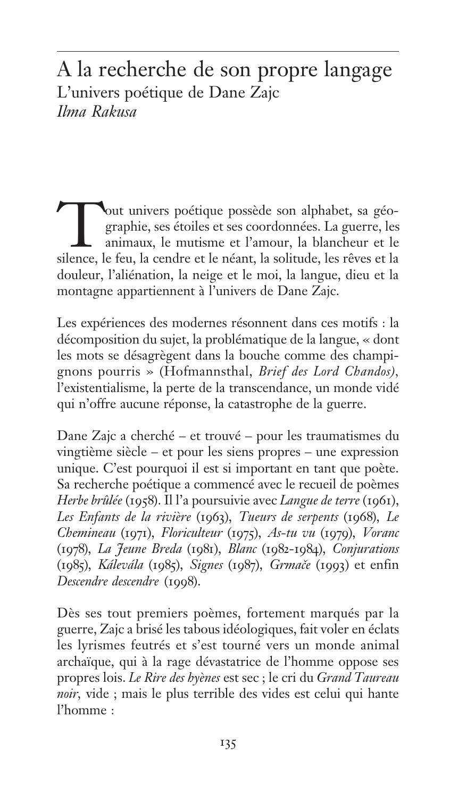# A la recherche de son propre langage L'univers poétique de Dane Zajc *Ilma Rakusa*

Tout univers poétique possède son alphabet, sa géographie, ses étoiles et ses coordonnées. La guerre, les animaux, le mutisme et l'amour, la blancheur et le silence, le feu, la cendre et le néant, la solitude, les rêves et la douleur, l'aliénation, la neige et le moi, la langue, dieu et la montagne appartiennent à l'univers de Dane Zajc.

Les expériences des modernes résonnent dans ces motifs : la décomposition du sujet, la problématique de la langue, « dont les mots se désagrègent dans la bouche comme des champignons pourris » (Hofmannsthal, *Brief des Lord Chandos),* l'existentialisme, la perte de la transcendance, un monde vidé qui n'offre aucune réponse, la catastrophe de la guerre.

Dane Zajc a cherché — et trouvé — pour les traumatismes du vingtième siècle — et pour les siens propres — une expression unique. C'est pourquoi il est si important en tant que poète. Sa recherche poétique a commencé avec le recueil de poèmes *Herbe brûlée* (1958). Il l'a poursuivie avec *Langue de terre* (1961), *Les Enfants de la rivière* (1963), *Tueurs de serpents* (1968), *Le Chemineau* (1971), *Floriculteur* (1975), *As-tu vu* (1979), *Voranc* (1978), *La Jeune Breda* (1981), *Blanc* (1982-1984), *Conjurations* (1985), *Kálevála* (1985), *Signes* (1987), *Grmače* (1993) et enfin *Descendre descendre* (1998).

Dès ses tout premiers poèmes, fortement marqués par la guerre, Zajc a brisé les tabous idéologiques, fait voler en éclats les lyrismes feutrés et s'est tourné vers un monde animal archaïque, qui à la rage dévastatrice de l'homme oppose ses propres lois. *Le Rire des hyènes* est sec ; le cri du *Grand Taureau noir,* vide ; mais le plus terrible des vides est celui qui hante l'homme :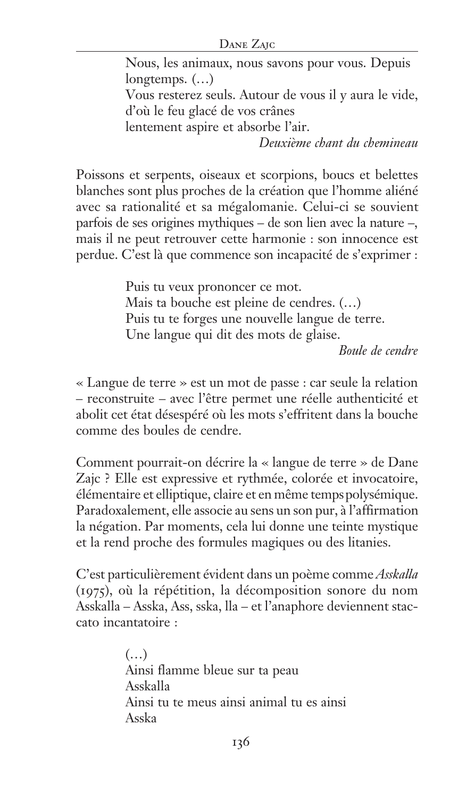#### Dane Zajc

Nous, les animaux, nous savons pour vous. Depuis longtemps. (…) Vous resterez seuls. Autour de vous il y aura le vide, d'où le feu glacé de vos crânes lentement aspire et absorbe l'air.

*Deuxième chant du chemineau*

Poissons et serpents, oiseaux et scorpions, boucs et belettes blanches sont plus proches de la création que l'homme aliéné avec sa rationalité et sa mégalomanie. Celui-ci se souvient parfois de ses origines mythiques — de son lien avec la nature —, mais il ne peut retrouver cette harmonie : son innocence est perdue. C'est là que commence son incapacité de s'exprimer :

> Puis tu veux prononcer ce mot. Mais ta bouche est pleine de cendres. (…) Puis tu te forges une nouvelle langue de terre. Une langue qui dit des mots de glaise.

*Boule de cendre*

« Langue de terre » est un mot de passe : car seule la relation — reconstruite — avec l'être permet une réelle authenticité et abolit cet état désespéré où les mots s'effritent dans la bouche comme des boules de cendre.

Comment pourrait-on décrire la « langue de terre » de Dane Zajc ? Elle est expressive et rythmée, colorée et invocatoire, élémentaire et elliptique, claire et en même temps polysémique. Paradoxalement, elle associe au sens un son pur, à l'affirmation la négation. Par moments, cela lui donne une teinte mystique et la rend proche des formules magiques ou des litanies.

C'est particulièrement évident dans un poème comme *Asskalla* (1975), où la répétition, la décomposition sonore du nom Asskalla — Asska, Ass, sska, lla — et l'anaphore deviennent staccato incantatoire :

> (…) Ainsi flamme bleue sur ta peau Asskalla Ainsi tu te meus ainsi animal tu es ainsi Asska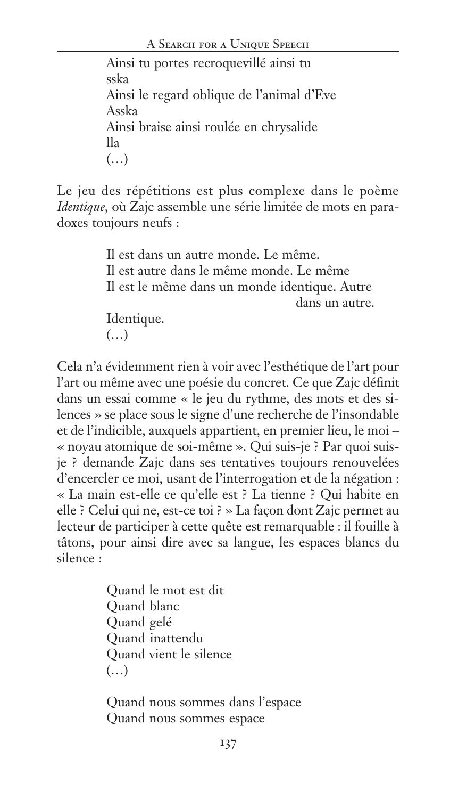Ainsi tu portes recroquevillé ainsi tu sska Ainsi le regard oblique de l'animal d'Eve Asska Ainsi braise ainsi roulée en chrysalide lla (…)

Le jeu des répétitions est plus complexe dans le poème *Identique,* où Zajc assemble une série limitée de mots en paradoxes toujours neufs :

> Il est dans un autre monde. Le même. Il est autre dans le même monde. Le même Il est le même dans un monde identique. Autre dans un autre. Identique. (…)

Cela n'a évidemment rien à voir avec l'esthétique de l'art pour l'art ou même avec une poésie du concret. Ce que Zajc définit dans un essai comme « le jeu du rythme, des mots et des silences » se place sous le signe d'une recherche de l'insondable et de l'indicible, auxquels appartient, en premier lieu, le moi — « noyau atomique de soi-même ». Qui suis-je ? Par quoi suisje ? demande Zajc dans ses tentatives toujours renouvelées d'encercler ce moi, usant de l'interrogation et de la négation : « La main est-elle ce qu'elle est ? La tienne ? Qui habite en elle ? Celui qui ne, est-ce toi ? » La façon dont Zajc permet au lecteur de participer à cette quête est remarquable : il fouille à tâtons, pour ainsi dire avec sa langue, les espaces blancs du silence :

> Quand le mot est dit Quand blanc Quand gelé Quand inattendu Quand vient le silence (…)

Quand nous sommes dans l'espace Quand nous sommes espace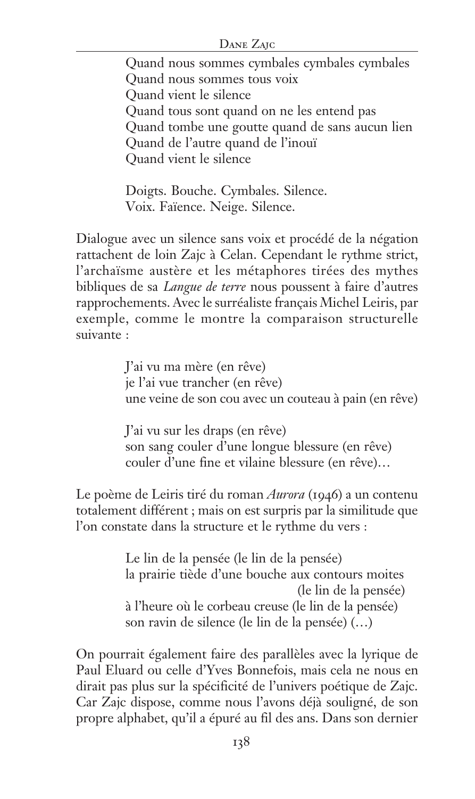#### Dane Zajc

Quand nous sommes cymbales cymbales cymbales Quand nous sommes tous voix Quand vient le silence Quand tous sont quand on ne les entend pas Quand tombe une goutte quand de sans aucun lien Quand de l'autre quand de l'inouï Quand vient le silence

Doigts. Bouche. Cymbales. Silence. Voix. Faïence. Neige. Silence.

Dialogue avec un silence sans voix et procédé de la négation rattachent de loin Zajc à Celan. Cependant le rythme strict, l'archaïsme austère et les métaphores tirées des mythes bibliques de sa *Langue de terre* nous poussent à faire d'autres rapprochements. Avec le surréaliste français Michel Leiris, par exemple, comme le montre la comparaison structurelle suivante :

> J'ai vu ma mère (en rêve) je l'ai vue trancher (en rêve) une veine de son cou avec un couteau à pain (en rêve)

J'ai vu sur les draps (en rêve) son sang couler d'une longue blessure (en rêve) couler d'une fine et vilaine blessure (en rêve)…

Le poème de Leiris tiré du roman *Aurora* (1946) a un contenu totalement différent ; mais on est surpris par la similitude que l'on constate dans la structure et le rythme du vers :

> Le lin de la pensée (le lin de la pensée) la prairie tiède d'une bouche aux contours moites (le lin de la pensée) à l'heure où le corbeau creuse (le lin de la pensée) son ravin de silence (le lin de la pensée) (…)

On pourrait également faire des parallèles avec la lyrique de Paul Eluard ou celle d'Yves Bonnefois, mais cela ne nous en dirait pas plus sur la spécificité de l'univers poétique de Zajc. Car Zajc dispose, comme nous l'avons déjà souligné, de son propre alphabet, qu'il a épuré au fil des ans. Dans son dernier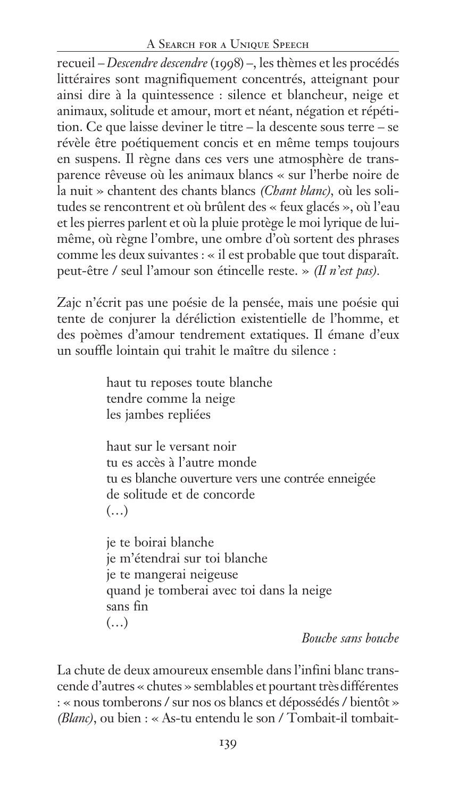### A SEARCH FOR A UNIQUE SPEECH

recueil — *Descendre descendre* (1998) —, les thèmes et les procédés littéraires sont magnifiquement concentrés, atteignant pour ainsi dire à la quintessence : silence et blancheur, neige et animaux, solitude et amour, mort et néant, négation et répétition. Ce que laisse deviner le titre — la descente sous terre — se révèle être poétiquement concis et en même temps toujours en suspens. Il règne dans ces vers une atmosphère de transparence rêveuse où les animaux blancs « sur l'herbe noire de la nuit » chantent des chants blancs *(Chant blanc),* où les solitudes se rencontrent et où brûlent des « feux glacés », où l'eau et les pierres parlent et où la pluie protège le moi lyrique de luimême, où règne l'ombre, une ombre d'où sortent des phrases comme les deux suivantes : « il est probable que tout disparaît. peut-être / seul l'amour son étincelle reste. » *(Il n'est pas).*

Zajc n'écrit pas une poésie de la pensée, mais une poésie qui tente de conjurer la déréliction existentielle de l'homme, et des poèmes d'amour tendrement extatiques. Il émane d'eux un souffle lointain qui trahit le maître du silence :

> haut tu reposes toute blanche tendre comme la neige les jambes repliées

haut sur le versant noir tu es accès à l'autre monde tu es blanche ouverture vers une contrée enneigée de solitude et de concorde  $(\ldots)$ 

je te boirai blanche je m'étendrai sur toi blanche je te mangerai neigeuse quand je tomberai avec toi dans la neige sans fin (…)

*Bouche sans bouche*

La chute de deux amoureux ensemble dans l'infini blanc transcende d'autres « chutes » semblables et pourtant très différentes : « nous tomberons / sur nos os blancs et dépossédés / bientôt » *(Blanc)*, ou bien : « As-tu entendu le son / Tombait-il tombait-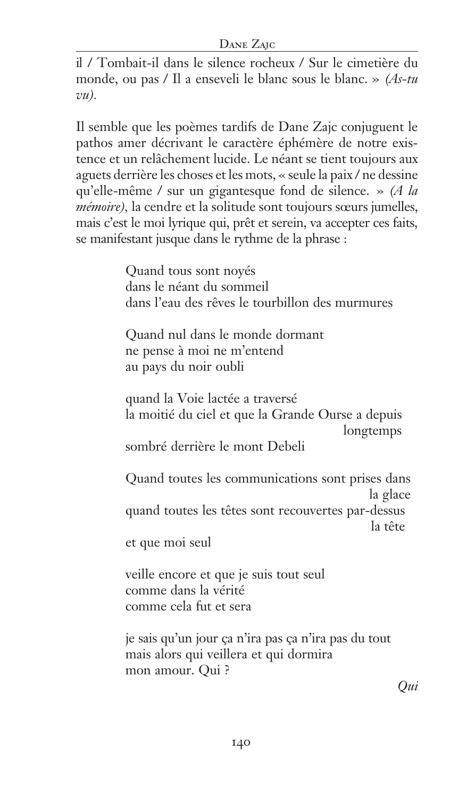#### DANE ZAIC

il / Tombait-il dans le silence rocheux / Sur le cimetière du monde, ou pas / Il a enseveli le blanc sous le blanc. » *(As-tu vu).*

Il semble que les poèmes tardifs de Dane Zajc conjuguent le pathos amer décrivant le caractère éphémère de notre existence et un relâchement lucide. Le néant se tient toujours aux aguets derrière les choses et les mots, « seule la paix / ne dessine qu'elle-même / sur un gigantesque fond de silence. » *(A la mémoire),* la cendre et la solitude sont toujours sœurs jumelles, mais c'est le moi lyrique qui, prêt et serein, va accepter ces faits, se manifestant jusque dans le rythme de la phrase :

> Quand tous sont noyés dans le néant du sommeil dans l'eau des rêves le tourbillon des murmures Quand nul dans le monde dormant ne pense à moi ne m'entend au pays du noir oubli quand la Voie lactée a traversé la moitié du ciel et que la Grande Ourse a depuis longtemps sombré derrière le mont Debeli Quand toutes les communications sont prises dans la glace quand toutes les têtes sont recouvertes par-dessus la tête et que moi seul veille encore et que je suis tout seul comme dans la vérité comme cela fut et sera je sais qu'un jour ça n'ira pas ça n'ira pas du tout mais alors qui veillera et qui dormira mon amour. Qui ?

> > *Qui*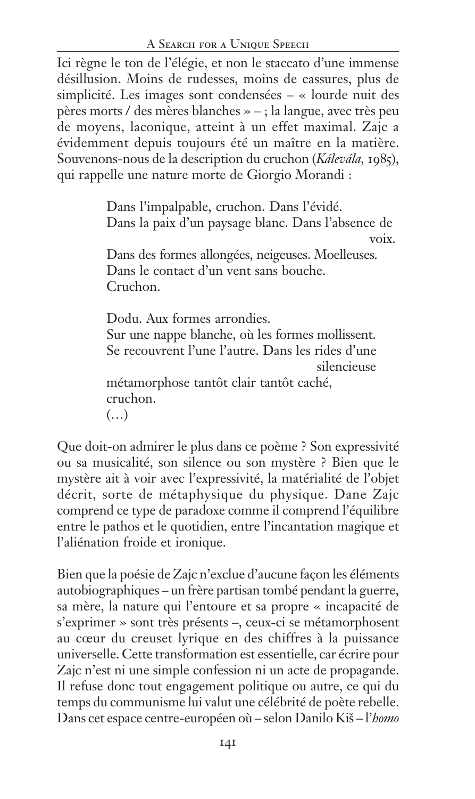Ici règne le ton de l'élégie, et non le staccato d'une immense désillusion. Moins de rudesses, moins de cassures, plus de simplicité. Les images sont condensées — « lourde nuit des pères morts / des mères blanches » — ; la langue, avec très peu de moyens, laconique, atteint à un effet maximal. Zajc a évidemment depuis toujours été un maître en la matière. Souvenons-nous de la description du cruchon (*Kálevála,* 1985), qui rappelle une nature morte de Giorgio Morandi :

> Dans l'impalpable, cruchon. Dans l'évidé. Dans la paix d'un paysage blanc. Dans l'absence de voix. Dans des formes allongées, neigeuses. Moelleuses. Dans le contact d'un vent sans bouche. Cruchon. Dodu. Aux formes arrondies. Sur une nappe blanche, où les formes mollissent. Se recouvrent l'une l'autre. Dans les rides d'une silencieuse

métamorphose tantôt clair tantôt caché, cruchon. (…)

Que doit-on admirer le plus dans ce poème ? Son expressivité ou sa musicalité, son silence ou son mystère ? Bien que le mystère ait à voir avec l'expressivité, la matérialité de l'objet décrit, sorte de métaphysique du physique. Dane Zajc comprend ce type de paradoxe comme il comprend l'équilibre entre le pathos et le quotidien, entre l'incantation magique et l'aliénation froide et ironique.

Bien que la poésie de Zajc n'exclue d'aucune façon les éléments autobiographiques — un frère partisan tombé pendant la guerre, sa mère, la nature qui l'entoure et sa propre « incapacité de s'exprimer » sont très présents —, ceux-ci se métamorphosent au cœur du creuset lyrique en des chiffres à la puissance universelle. Cette transformation est essentielle, car écrire pour Zajc n'est ni une simple confession ni un acte de propagande. Il refuse donc tout engagement politique ou autre, ce qui du temps du communisme lui valut une célébrité de poète rebelle. Dans cet espace centre-européen où – selon Danilo Kiš – l'*homo*